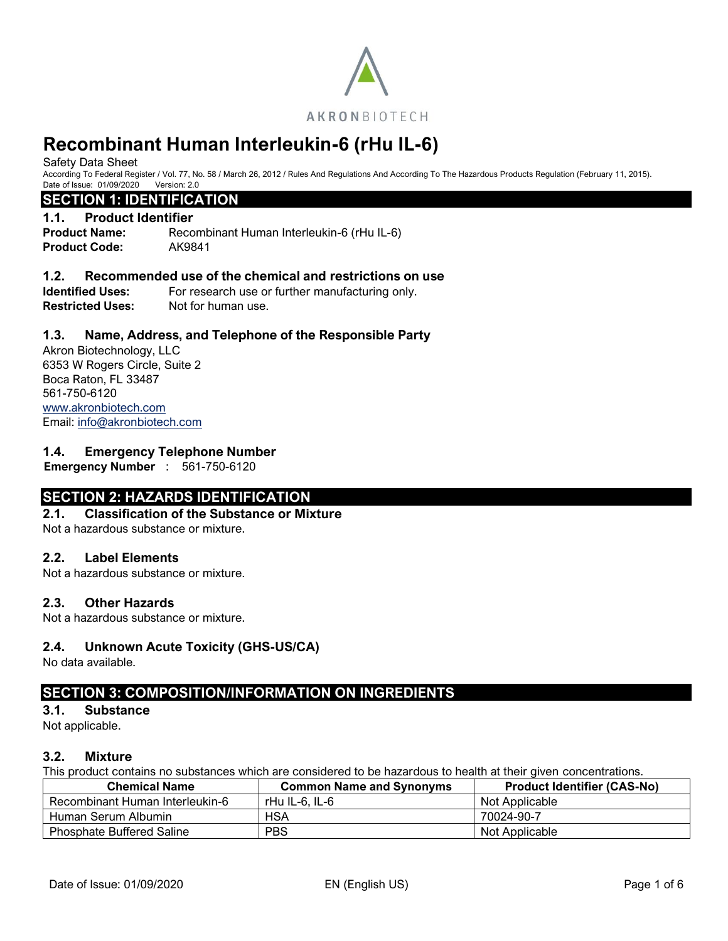

Safety Data Sheet

According To Federal Register / Vol. 77, No. 58 / March 26, 2012 / Rules And Regulations And According To The Hazardous Products Regulation (February 11, 2015). Date of Issue: 01/09/2020 Version: 2.0

#### **SECTION 1: IDENTIFICATION**

#### **1.1. Product Identifier**

**Product Name:** Recombinant Human Interleukin-6 (rHu IL-6) **Product Code:** AK9841

#### **1.2. Recommended use of the chemical and restrictions on use**

**Identified Uses:** For research use or further manufacturing only. **Restricted Uses:** Not for human use.

#### **1.3. Name, Address, and Telephone of the Responsible Party**

Akron Biotechnology, LLC 6353 W Rogers Circle, Suite 2 Boca Raton, FL 33487 561-750-6120 [www.akronbiotech.com](http://www.akronbiotech.com/%3c/a) Email: [info@akronbiotech.com](mailto:info@akronbiotech.com)

#### **1.4. Emergency Telephone Number**

**Emergency Number** : 561-750-6120

### **SECTION 2: HAZARDS IDENTIFICATION**

#### **2.1. Classification of the Substance or Mixture**

Not a hazardous substance or mixture.

#### **2.2. Label Elements**

Not a hazardous substance or mixture.

#### **2.3. Other Hazards**

Not a hazardous substance or mixture.

#### **2.4. Unknown Acute Toxicity (GHS-US/CA)**

No data available.

### **SECTION 3: COMPOSITION/INFORMATION ON INGREDIENTS**

#### **3.1. Substance**

Not applicable.

#### **3.2. Mixture**

This product contains no substances which are considered to be hazardous to health at their given concentrations.

| <b>Chemical Name</b>             | <b>Common Name and Synonyms</b> | <b>Product Identifier (CAS-No)</b> |
|----------------------------------|---------------------------------|------------------------------------|
| Recombinant Human Interleukin-6  | rHu IL-6. IL-6                  | Not Applicable                     |
| Human Serum Albumin              | HSA                             | 70024-90-7                         |
| <b>Phosphate Buffered Saline</b> | <b>PBS</b>                      | Not Applicable                     |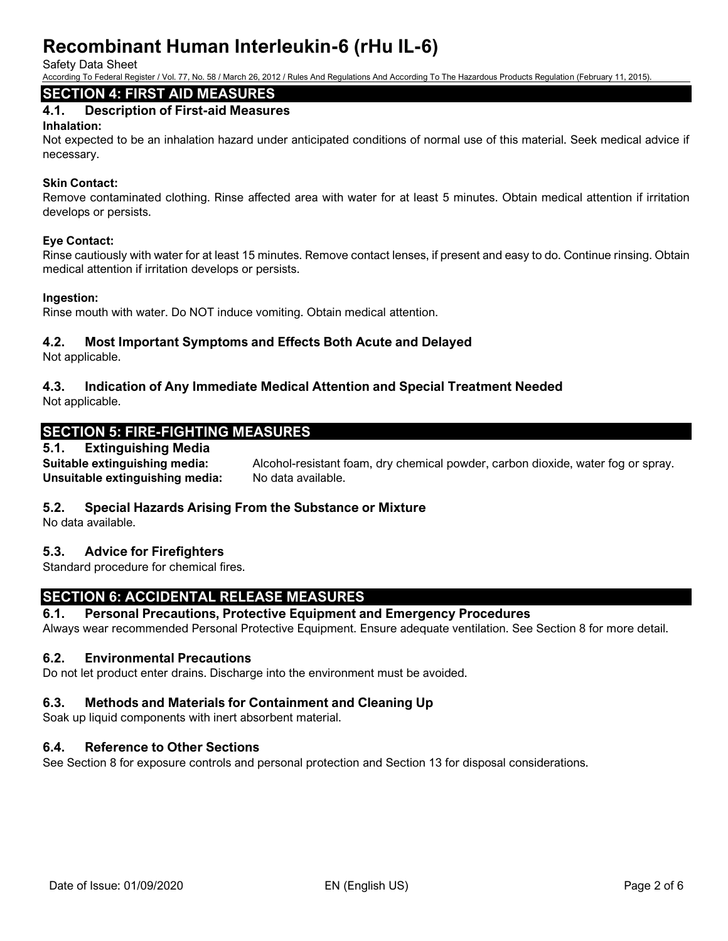Safety Data Sheet

According To Federal Register / Vol. 77, No. 58 / March 26, 2012 / Rules And Regulations And According To The Hazardous Products Regulation (February 11, 2015).

# **SECTION 4: FIRST AID MEASURES**

### **4.1. Description of First-aid Measures**

#### **Inhalation:**

Not expected to be an inhalation hazard under anticipated conditions of normal use of this material. Seek medical advice if necessary.

#### **Skin Contact:**

Remove contaminated clothing. Rinse affected area with water for at least 5 minutes. Obtain medical attention if irritation develops or persists.

#### **Eye Contact:**

Rinse cautiously with water for at least 15 minutes. Remove contact lenses, if present and easy to do. Continue rinsing. Obtain medical attention if irritation develops or persists.

#### **Ingestion:**

Rinse mouth with water. Do NOT induce vomiting. Obtain medical attention.

#### **4.2. Most Important Symptoms and Effects Both Acute and Delayed**

Not applicable.

# **4.3. Indication of Any Immediate Medical Attention and Special Treatment Needed**

Not applicable.

# **SECTION 5: FIRE-FIGHTING MEASURES**

#### **5.1. Extinguishing Media**

**Suitable extinguishing media:** Alcohol-resistant foam, dry chemical powder, carbon dioxide, water fog or spray. Unsuitable extinguishing media: No data available.

### **5.2. Special Hazards Arising From the Substance or Mixture**

No data available.

### **5.3. Advice for Firefighters**

Standard procedure for chemical fires.

# **SECTION 6: ACCIDENTAL RELEASE MEASURES**

#### **6.1. Personal Precautions, Protective Equipment and Emergency Procedures**

Always wear recommended Personal Protective Equipment. Ensure adequate ventilation. See Section 8 for more detail.

#### **6.2. Environmental Precautions**

Do not let product enter drains. Discharge into the environment must be avoided.

#### **6.3. Methods and Materials for Containment and Cleaning Up**

Soak up liquid components with inert absorbent material.

#### **6.4. Reference to Other Sections**

See Section 8 for exposure controls and personal protection and Section 13 for disposal considerations.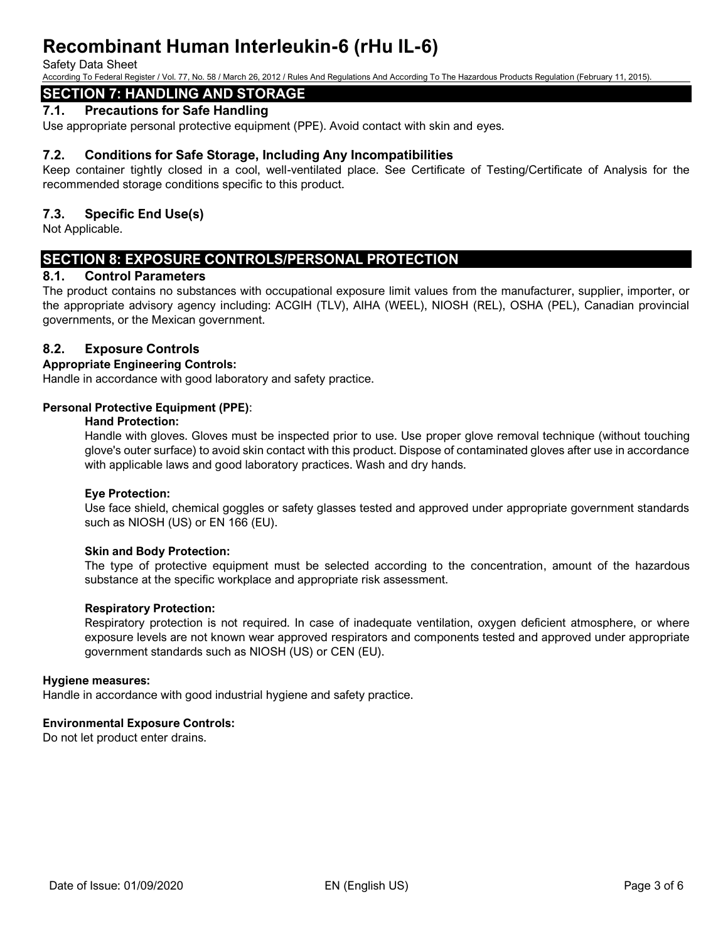#### Safety Data Sheet

According To Federal Register / Vol. 77, No. 58 / March 26, 2012 / Rules And Regulations And According To The Hazardous Products Regulation (February 11, 2015).

# **SECTION 7: HANDLING AND STORAGE**

#### **7.1. Precautions for Safe Handling**

Use appropriate personal protective equipment (PPE). Avoid contact with skin and eyes.

#### **7.2. Conditions for Safe Storage, Including Any Incompatibilities**

Keep container tightly closed in a cool, well-ventilated place. See Certificate of Testing/Certificate of Analysis for the recommended storage conditions specific to this product.

#### **7.3. Specific End Use(s)**

Not Applicable.

### **SECTION 8: EXPOSURE CONTROLS/PERSONAL PROTECTION**

#### **8.1. Control Parameters**

The product contains no substances with occupational exposure limit values from the manufacturer, supplier, importer, or the appropriate advisory agency including: ACGIH (TLV), AIHA (WEEL), NIOSH (REL), OSHA (PEL), Canadian provincial governments, or the Mexican government.

#### **8.2. Exposure Controls**

#### **Appropriate Engineering Controls:**

Handle in accordance with good laboratory and safety practice.

#### **Personal Protective Equipment (PPE)**:

#### **Hand Protection:**

Handle with gloves. Gloves must be inspected prior to use. Use proper glove removal technique (without touching glove's outer surface) to avoid skin contact with this product. Dispose of contaminated gloves after use in accordance with applicable laws and good laboratory practices. Wash and dry hands.

#### **Eye Protection:**

Use face shield, chemical goggles or safety glasses tested and approved under appropriate government standards such as NIOSH (US) or EN 166 (EU).

#### **Skin and Body Protection:**

The type of protective equipment must be selected according to the concentration, amount of the hazardous substance at the specific workplace and appropriate risk assessment.

#### **Respiratory Protection:**

Respiratory protection is not required. In case of inadequate ventilation, oxygen deficient atmosphere, or where exposure levels are not known wear approved respirators and components tested and approved under appropriate government standards such as NIOSH (US) or CEN (EU).

#### **Hygiene measures:**

Handle in accordance with good industrial hygiene and safety practice.

#### **Environmental Exposure Controls:**

Do not let product enter drains.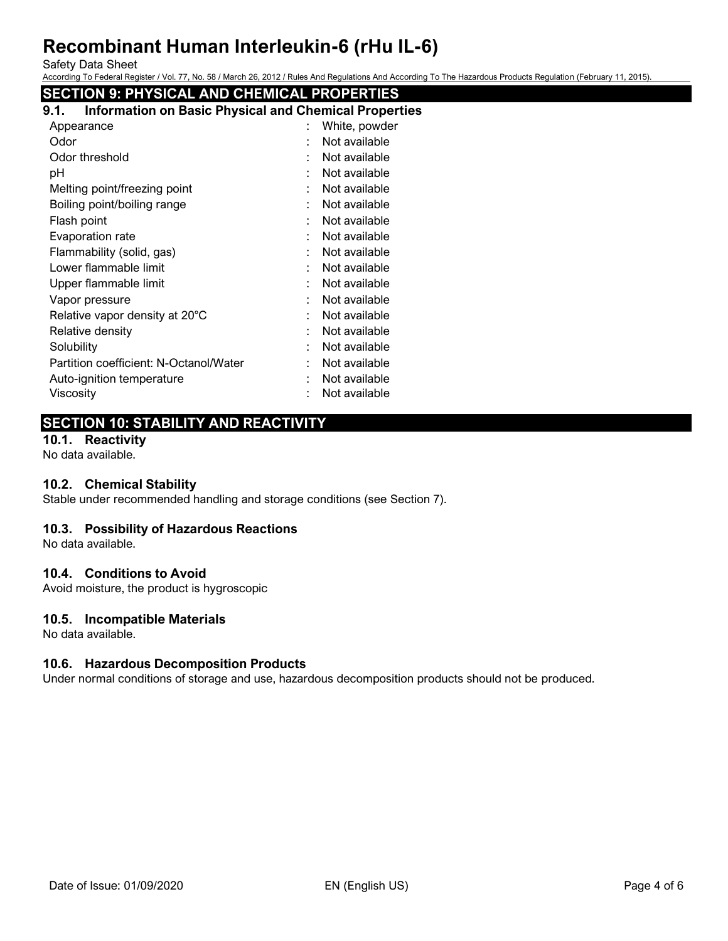Safety Data Sheet

According To Federal Register / Vol. 77, No. 58 / March 26, 2012 / Rules And Regulations And According To The Hazardous Products Regulation (February 11, 2015).

# **SECTION 9: PHYSICAL AND CHEMICAL PROPERTIES**

| <b>Information on Basic Physical and Chemical Properties</b><br>9.1. |                    |
|----------------------------------------------------------------------|--------------------|
| Appearance                                                           | White, powder      |
| Odor                                                                 | Not available      |
| Odor threshold                                                       | Not available      |
| рH                                                                   | Not available      |
| Melting point/freezing point                                         | Not available      |
| Boiling point/boiling range                                          | Not available<br>۰ |
| Flash point                                                          | Not available      |
| Evaporation rate                                                     | Not available      |
| Flammability (solid, gas)                                            | Not available      |
| Lower flammable limit                                                | Not available<br>٠ |
| Upper flammable limit                                                | Not available      |
| Vapor pressure                                                       | Not available      |
| Relative vapor density at 20°C                                       | Not available<br>٠ |
| Relative density                                                     | Not available      |
| Solubility                                                           | Not available<br>٠ |
| Partition coefficient: N-Octanol/Water                               | Not available<br>۰ |
| Auto-ignition temperature                                            | Not available      |
| Viscosity                                                            | Not available      |
|                                                                      |                    |

# **SECTION 10: STABILITY AND REACTIVITY**

### **10.1. Reactivity**

No data available.

#### **10.2. Chemical Stability**

Stable under recommended handling and storage conditions (see Section 7).

#### **10.3. Possibility of Hazardous Reactions**

No data available.

#### **10.4. Conditions to Avoid**

Avoid moisture, the product is hygroscopic

#### **10.5. Incompatible Materials**

No data available.

### **10.6. Hazardous Decomposition Products**

Under normal conditions of storage and use, hazardous decomposition products should not be produced.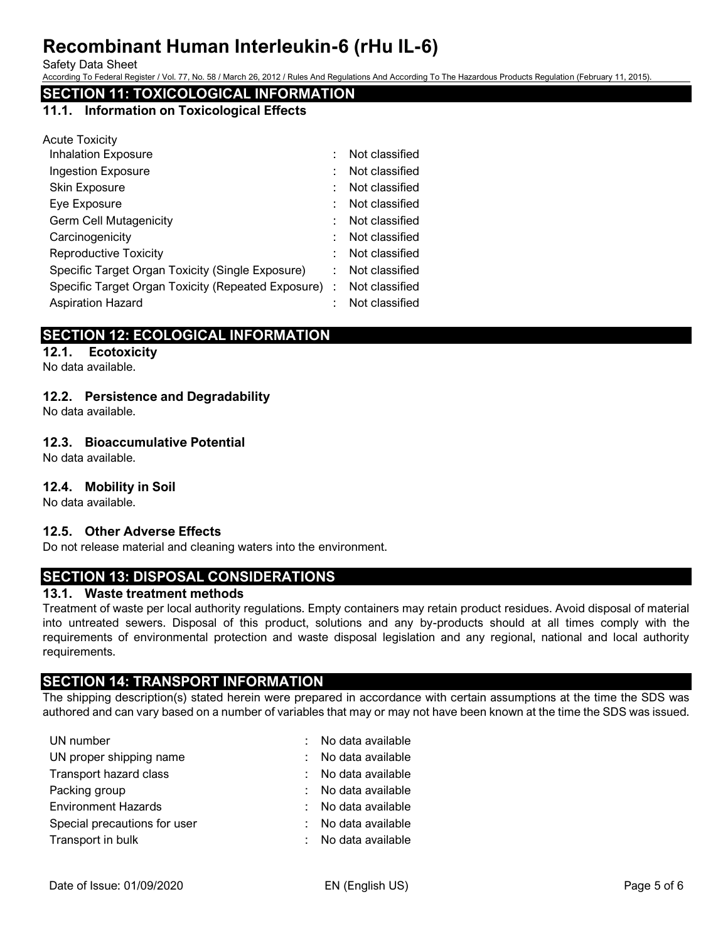Safety Data Sheet

According To Federal Register / Vol. 77, No. 58 / March 26, 2012 / Rules And Regulations And According To The Hazardous Products Regulation (February 11, 2015).

# **SECTION 11: TOXICOLOGICAL INFORMATION**

#### **11.1. Information on Toxicological Effects**

| <b>Acute Toxicity</b>                              |                |
|----------------------------------------------------|----------------|
| <b>Inhalation Exposure</b>                         | Not classified |
| <b>Ingestion Exposure</b>                          | Not classified |
| Skin Exposure                                      | Not classified |
| Eye Exposure                                       | Not classified |
| <b>Germ Cell Mutagenicity</b>                      | Not classified |
| Carcinogenicity                                    | Not classified |
| <b>Reproductive Toxicity</b>                       | Not classified |
| Specific Target Organ Toxicity (Single Exposure)   | Not classified |
| Specific Target Organ Toxicity (Repeated Exposure) | Not classified |
| <b>Aspiration Hazard</b>                           | Not classified |

# **SECTION 12: ECOLOGICAL INFORMATION**

# **12.1. Ecotoxicity**

No data available.

### **12.2. Persistence and Degradability**

No data available.

#### **12.3. Bioaccumulative Potential**

No data available.

#### **12.4. Mobility in Soil**

No data available.

#### **12.5. Other Adverse Effects**

Do not release material and cleaning waters into the environment.

# **SECTION 13: DISPOSAL CONSIDERATIONS**

#### **13.1. Waste treatment methods**

Treatment of waste per local authority regulations. Empty containers may retain product residues. Avoid disposal of material into untreated sewers. Disposal of this product, solutions and any by-products should at all times comply with the requirements of environmental protection and waste disposal legislation and any regional, national and local authority requirements.

# **SECTION 14: TRANSPORT INFORMATION**

The shipping description(s) stated herein were prepared in accordance with certain assumptions at the time the SDS was authored and can vary based on a number of variables that may or may not have been known at the time the SDS was issued.

| UN number                    | No data available |
|------------------------------|-------------------|
| UN proper shipping name      | No data available |
| Transport hazard class       | No data available |
| Packing group                | No data available |
| <b>Environment Hazards</b>   | No data available |
| Special precautions for user | No data available |
| Transport in bulk            | No data available |
|                              |                   |